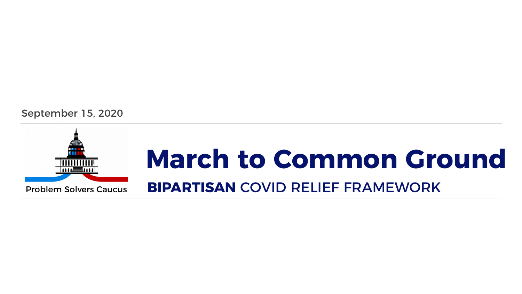#### September 15, 2020



### **March to Common Ground** Problem Solvers Caucus **BIPARTISAN** COVID RELIEF FRAMEWORK

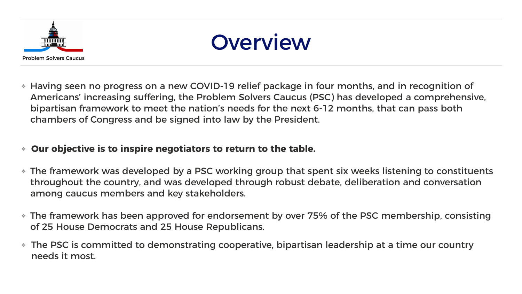### Overview

❖ Having seen no progress on a new COVID-19 relief package in four months, and in recognition of Americans' increasing suffering, the Problem Solvers Caucus (PSC) has developed a comprehensive, bipartisan framework to meet the nation's needs for the next 6-12 months, that can pass both

chambers of Congress and be signed into law by the President.

#### ❖ **Our objective is to inspire negotiators to return to the table.**

❖ The framework was developed by a PSC working group that spent six weeks listening to constituents throughout the country, and was developed through robust debate, deliberation and conversation

❖ The framework has been approved for endorsement by over 75% of the PSC membership, consisting

The PSC is committed to demonstrating cooperative, bipartisan leadership at a time our country



- among caucus members and key stakeholders.
- of 25 House Democrats and 25 House Republicans.
- needs it most.



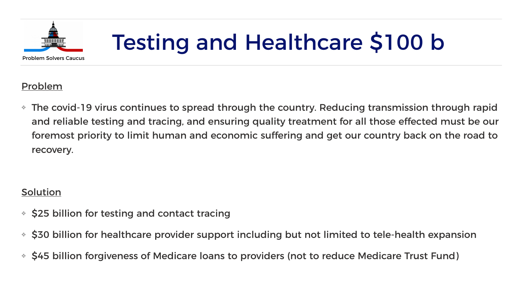## Testing and Healthcare \$100 b

#### Problem

❖ The covid-19 virus continues to spread through the country. Reducing transmission through rapid and reliable testing and tracing, and ensuring quality treatment for all those effected must be our foremost priority to limit human and economic suffering and get our country back on the road to

recovery.

### Solution

❖ \$30 billion for healthcare provider support including but not limited to tele-health expansion



- ❖ \$25 billion for testing and contact tracing
- 
- ❖ \$45 billion forgiveness of Medicare loans to providers (not to reduce Medicare Trust Fund)

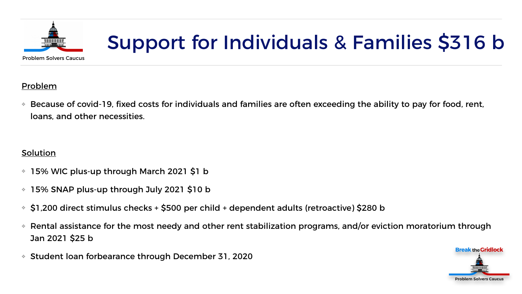

### Support for Individuals & Families \$316 b

#### Problem

❖ Because of covid-19, fixed costs for individuals and families are often exceeding the ability to pay for food, rent,

loans, and other necessities.

#### **Solution**

- ❖ 15% WIC plus-up through March 2021 \$1 b
- ❖ 15% SNAP plus-up through July 2021 \$10 b
- ❖ \$1,200 direct stimulus checks + \$500 per child + dependent adults (retroactive) \$280 b
- Jan 2021 \$25 b
- ❖ Student loan forbearance through December 31, 2020

❖ Rental assistance for the most needy and other rent stabilization programs, and/or eviction moratorium through



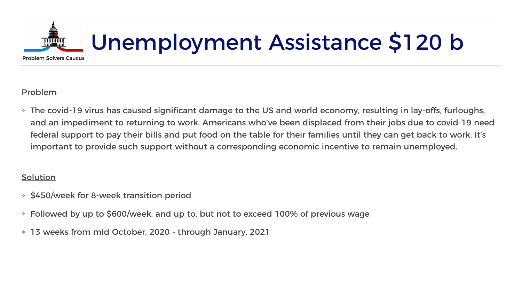#### Problem

❖ The covid-19 virus has caused significant damage to the US and world economy, resulting in lay-offs, furloughs, and an impediment to returning to work. Americans who've been displaced from their jobs due to covid-19 need federal support to pay their bills and put food on the table for their families until they can get back to work. It's

important to provide such support without a corresponding economic incentive to remain unemployed.

#### **Solution**

- ❖ \$450/week for 8-week transition period
- ↓ Followed by up to \$600/week, and up to, but not to exceed 100% of previous wage
- ❖ 13 weeks from mid October, 2020 through January, 2021



## Unemployment Assistance \$120 b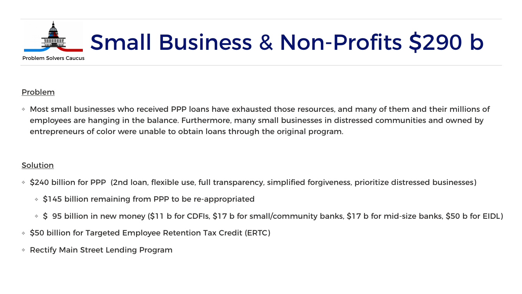

## Small Business & Non-Profits \$290 b

#### Problem

❖ Most small businesses who received PPP loans have exhausted those resources, and many of them and their millions of employees are hanging in the balance. Furthermore, many small businesses in distressed communities and owned by

entrepreneurs of color were unable to obtain loans through the original program.

#### **Solution**

❖ \$240 billion for PPP (2nd loan, flexible use, full transparency, simplified forgiveness, prioritize distressed businesses)

❖ \$ 95 billion in new money (\$11 b for CDFIs, \$17 b for small/community banks, \$17 b for mid-size banks, \$50 b for EIDL)



- - ❖ \$145 billion remaining from PPP to be re-appropriated
	-
- ❖ \$50 billion for Targeted Employee Retention Tax Credit (ERTC)
- ❖ Rectify Main Street Lending Program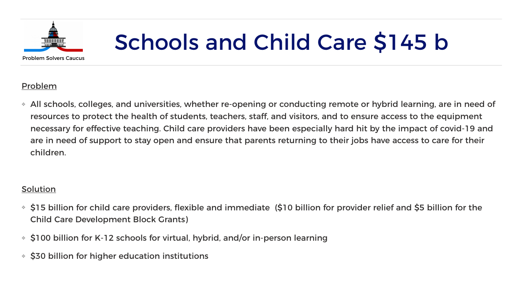

## Schools and Child Care \$145 b

#### Problem

❖ All schools, colleges, and universities, whether re-opening or conducting remote or hybrid learning, are in need of resources to protect the health of students, teachers, staff, and visitors, and to ensure access to the equipment necessary for effective teaching. Child care providers have been especially hard hit by the impact of covid-19 and are in need of support to stay open and ensure that parents returning to their jobs have access to care for their

children.

#### Solution

❖ \$15 billion for child care providers, flexible and immediate (\$10 billion for provider relief and \$5 billion for the



- Child Care Development Block Grants)
- ❖ \$100 billion for K-12 schools for virtual, hybrid, and/or in-person learning
- ❖ \$30 billion for higher education institutions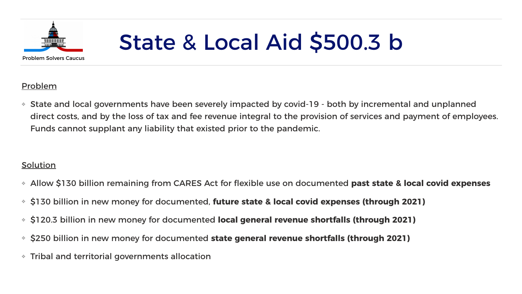

## State & Local Aid \$500.3 b

#### Problem

❖ State and local governments have been severely impacted by covid-19 - both by incremental and unplanned direct costs, and by the loss of tax and fee revenue integral to the provision of services and payment of employees.

Funds cannot supplant any liability that existed prior to the pandemic.

#### **Solution**

❖ Allow \$130 billion remaining from CARES Act for flexible use on documented **past state & local covid expenses** 

- 
- ❖ \$130 billion in new money for documented, **future state & local covid expenses (through 2021)**
- ❖ \$120.3 billion in new money for documented **local general revenue shortfalls (through 2021)**
- ❖ \$250 billion in new money for documented **state general revenue shortfalls (through 2021)**
- ❖ Tribal and territorial governments allocation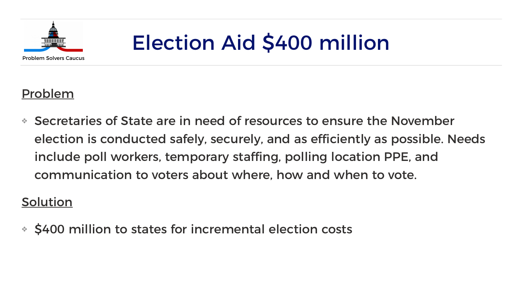## Election Aid \$400 million

### Problem

❖ Secretaries of State are in need of resources to ensure the November election is conducted safely, securely, and as efficiently as possible. Needs include poll workers, temporary staffing, polling location PPE, and communication to voters about where, how and when to vote.

### Solution

❖ \$400 million to states for incremental election costs

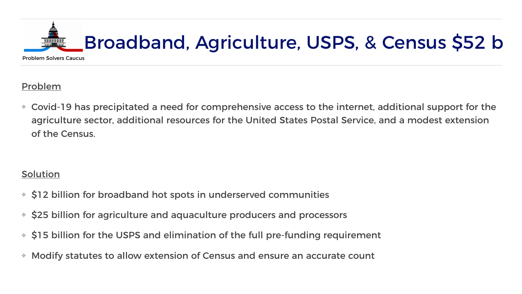### Broadband, Agriculture, USPS, & Census \$52 b

#### Problem

❖ Covid-19 has precipitated a need for comprehensive access to the internet, additional support for the agriculture sector, additional resources for the United States Postal Service, and a modest extension





of the Census.

#### **Solution**

- ❖ \$12 billion for broadband hot spots in underserved communities
- ❖ \$25 billion for agriculture and aquaculture producers and processors
- ❖ \$15 billion for the USPS and elimination of the full pre-funding requirement
- ❖ Modify statutes to allow extension of Census and ensure an accurate count

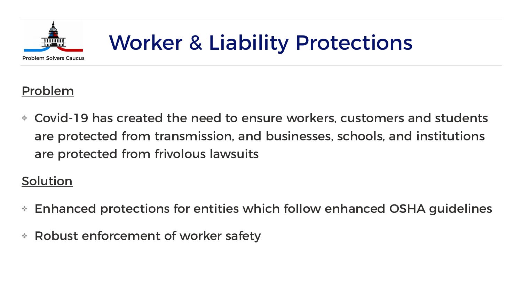

### Worker & Liability Protections

### Problem

❖ Covid-19 has created the need to ensure workers, customers and students are protected from transmission, and businesses, schools, and institutions are protected from frivolous lawsuits

### Solution

- ❖ Enhanced protections for entities which follow enhanced OSHA guidelines
- ❖ Robust enforcement of worker safety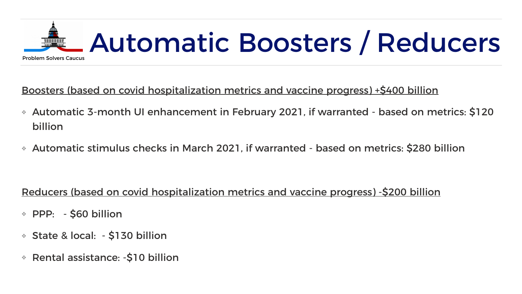# Automatic Boosters / Reducers





Boosters (based on covid hospitalization metrics and vaccine progress) +\$400 billion

- ❖ Automatic 3-month UI enhancement in February 2021, if warranted based on metrics: \$120 billion
- ❖ Automatic stimulus checks in March 2021, if warranted based on metrics: \$280 billion

Reducers (based on covid hospitalization metrics and vaccine progress) -\$200 billion

- ❖ PPP: \$60 billion
- ❖ State & local: \$130 billion
- ❖ Rental assistance: -\$10 billion